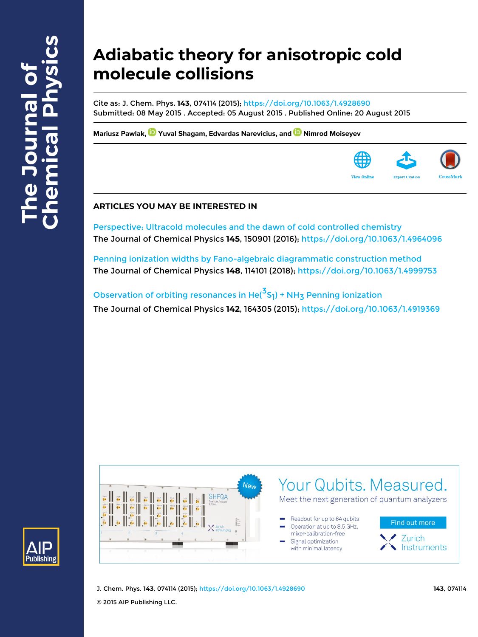# **Adiabatic theory for anisotropic cold molecule collisions**

Cite as: J. Chem. Phys. **143**, 074114 (2015); <https://doi.org/10.1063/1.4928690> Submitted: 08 May 2015 . Accepted: 05 August 2015 . Published Online: 20 August 2015

**[Mariusz Pawlak,](https://aip.scitation.org/author/Pawlak%2C+Mariusz)[Yuval Shagam](https://aip.scitation.org/author/Shagam%2C+Yuval), [Edvardas Narevicius](https://aip.scitation.org/author/Narevicius%2C+Edvardas), and [Nimrod Moiseyev](https://aip.scitation.org/author/Moiseyev%2C+Nimrod)**



## **ARTICLES YOU MAY BE INTERESTED IN**

[Perspective: Ultracold molecules and the dawn of cold controlled chemistry](https://aip.scitation.org/doi/10.1063/1.4964096) The Journal of Chemical Physics **145**, 150901 (2016); <https://doi.org/10.1063/1.4964096>

[Penning ionization widths by Fano-algebraic diagrammatic construction method](https://aip.scitation.org/doi/10.1063/1.4999753) The Journal of Chemical Physics **148**, 114101 (2018);<https://doi.org/10.1063/1.4999753>

Observation of orbiting resonances in He( $\mathrm{^{3}S_{1}}$ ) + NH<sub>3</sub> Penning ionization The Journal of Chemical Physics **142**, 164305 (2015);<https://doi.org/10.1063/1.4919369>



J. Chem. Phys. **143**, 074114 (2015); <https://doi.org/10.1063/1.4928690> **143**, 074114 © 2015 AIP Publishing LLC.

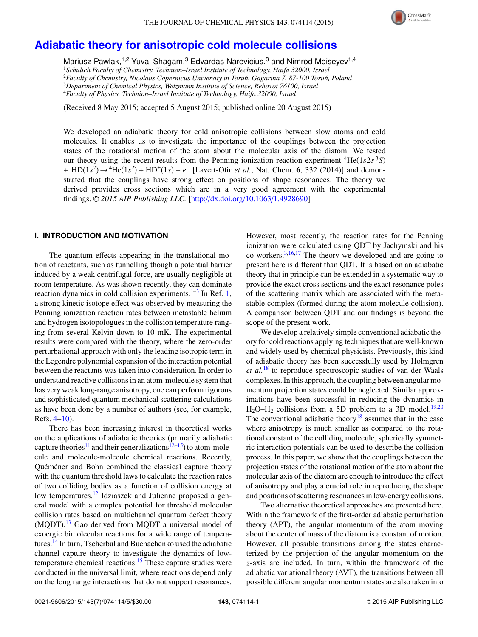

## **[Adiabatic theory for anisotropic cold molecule collisions](http://dx.doi.org/10.1063/1.4928690)**

Mariusz Pawlak,<sup>1,2</sup> Yuval Shagam,<sup>3</sup> Edvardas Narevicius,<sup>3</sup> and Nimrod Moiseyev<sup>1,4</sup> <sup>1</sup>*Schulich Faculty of Chemistry, Technion–Israel Institute of Technology, Haifa 32000, Israel* <sup>2</sup>Faculty of Chemistry, Nicolaus Copernicus University in Toruń, Gagarina 7, 87-100 Toruń, Poland <sup>3</sup>*Department of Chemical Physics, Weizmann Institute of Science, Rehovot 76100, Israel* <sup>4</sup>*Faculty of Physics, Technion–Israel Institute of Technology, Haifa 32000, Israel*

(Received 8 May 2015; accepted 5 August 2015; published online 20 August 2015)

We developed an adiabatic theory for cold anisotropic collisions between slow atoms and cold molecules. It enables us to investigate the importance of the couplings between the projection states of the rotational motion of the atom about the molecular axis of the diatom. We tested our theory using the recent results from the Penning ionization reaction experiment <sup>4</sup>He(1*s*2*s*<sup>3</sup>*S*) + HD( $1s^2$ ) → <sup>4</sup>He( $1s^2$ ) + HD<sup>+</sup>( $1s$ ) +  $e^-$  [Lavert-Ofir *et al.*, Nat. Chem. **6**, 332 (2014)] and demonstrated that the couplings have strong effect on positions of shape resonances. The theory we derived provides cross sections which are in a very good agreement with the experimental findings. <sup>C</sup> *2015 AIP Publishing LLC.* [\[http:](http://dx.doi.org/10.1063/1.4928690)//[dx.doi.org](http://dx.doi.org/10.1063/1.4928690)/[10.1063](http://dx.doi.org/10.1063/1.4928690)/[1.4928690\]](http://dx.doi.org/10.1063/1.4928690)

#### **I. INTRODUCTION AND MOTIVATION**

The quantum effects appearing in the translational motion of reactants, such as tunnelling though a potential barrier induced by a weak centrifugal force, are usually negligible at room temperature. As was shown recently, they can dominate reaction dynamics in cold collision experiments.<sup>[1](#page-5-0)-3</sup> In Ref. [1,](#page-5-0) a strong kinetic isotope effect was observed by measuring the Penning ionization reaction rates between metastable helium and hydrogen isotopologues in the collision temperature ranging from several Kelvin down to 10 mK. The experimental results were compared with the theory, where the zero-order perturbational approach with only the leading isotropic term in the Legendre polynomial expansion of the interaction potential between the reactants was taken into consideration. In order to understand reactive collisions in an atom-molecule system that has very weak long-range anisotropy, one can perform rigorous and sophisticated quantum mechanical scattering calculations as have been done by a number of authors (see, for example, Refs. [4](#page-5-2)[–10\)](#page-5-3).

There has been increasing interest in theoretical works on the applications of adiabatic theories (primarily adiabatic capture theories<sup>[11](#page-5-4)</sup> and their generalizations<sup>[12](#page-5-5)[–15](#page-5-6)</sup>) to atom-molecule and molecule-molecule chemical reactions. Recently, Quéméner and Bohn combined the classical capture theory with the quantum threshold laws to calculate the reaction rates of two colliding bodies as a function of collision energy at low temperatures.<sup>[12](#page-5-5)</sup> Idziaszek and Julienne proposed a general model with a complex potential for threshold molecular collision rates based on multichannel quantum defect theory  $(MQDT)$ .<sup>[13](#page-5-7)</sup> Gao derived from MQDT a universal model of exoergic bimolecular reactions for a wide range of temperatures.[14](#page-5-8) In turn, Tscherbul and Buchachenko used the adiabatic channel capture theory to investigate the dynamics of low-temperature chemical reactions.<sup>[15](#page-5-6)</sup> These capture studies were conducted in the universal limit, where reactions depend only on the long range interactions that do not support resonances.

However, most recently, the reaction rates for the Penning ionization were calculated using QDT by Jachymski and his co-workers. $3,16,17$  $3,16,17$  $3,16,17$  The theory we developed and are going to present here is different than QDT. It is based on an adiabatic theory that in principle can be extended in a systematic way to provide the exact cross sections and the exact resonance poles of the scattering matrix which are associated with the metastable complex (formed during the atom-molecule collision). A comparison between QDT and our findings is beyond the scope of the present work.

We develop a relatively simple conventional adiabatic theory for cold reactions applying techniques that are well-known and widely used by chemical physicists. Previously, this kind of adiabatic theory has been successfully used by Holmgren *et al.*[18](#page-5-11) to reproduce spectroscopic studies of van der Waals complexes. In this approach, the coupling between angular momentum projection states could be neglected. Similar approximations have been successful in reducing the dynamics in  $H_2O-H_2$  collisions from a 5D problem to a 3D model.<sup>[19](#page-5-12)[,20](#page-5-13)</sup> The conventional adiabatic theory<sup>[18](#page-5-11)</sup> assumes that in the case where anisotropy is much smaller as compared to the rotational constant of the colliding molecule, spherically symmetric interaction potentials can be used to describe the collision process. In this paper, we show that the couplings between the projection states of the rotational motion of the atom about the molecular axis of the diatom are enough to introduce the effect of anisotropy and play a crucial role in reproducing the shape and positions of scattering resonances in low-energy collisions.

Two alternative theoretical approaches are presented here. Within the framework of the first-order adiabatic perturbation theory (APT), the angular momentum of the atom moving about the center of mass of the diatom is a constant of motion. However, all possible transitions among the states characterized by the projection of the angular momentum on the *z*-axis are included. In turn, within the framework of the adiabatic variational theory (AVT), the transitions between all possible different angular momentum states are also taken into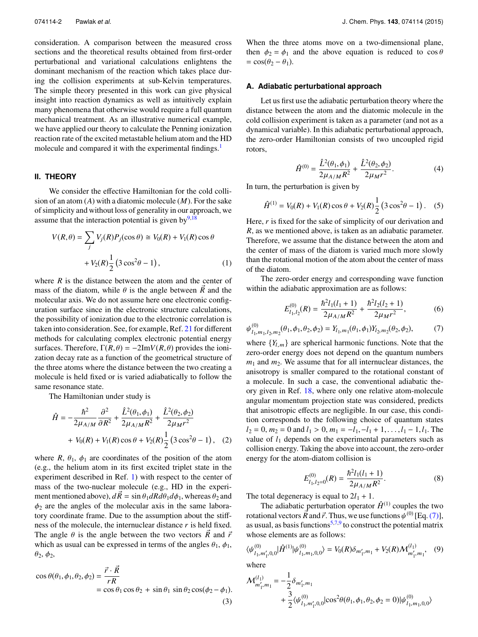consideration. A comparison between the measured cross sections and the theoretical results obtained from first-order perturbational and variational calculations enlightens the dominant mechanism of the reaction which takes place during the collision experiments at sub-Kelvin temperatures. The simple theory presented in this work can give physical insight into reaction dynamics as well as intuitively explain many phenomena that otherwise would require a full quantum mechanical treatment. As an illustrative numerical example, we have applied our theory to calculate the Penning ionization reaction rate of the excited metastable helium atom and the HD molecule and compared it with the experimental findings.<sup>[1](#page-5-0)</sup>

### **II. THEORY**

We consider the effective Hamiltonian for the cold collision of an atom (*A*) with a diatomic molecule (*M*). For the sake of simplicity and without loss of generality in our approach, we assume that the interaction potential is given by $9.18$  $9.18$ 

$$
V(R,\theta) = \sum_{j} V_j(R)P_j(\cos\theta) \cong V_0(R) + V_1(R)\cos\theta
$$

$$
+ V_2(R)\frac{1}{2}(3\cos^2\theta - 1), \qquad (1)
$$

where  $R$  is the distance between the atom and the center of mass of the diatom, while  $\theta$  is the angle between  $\hat{R}$  and the molecular axis. We do not assume here one electronic configuration surface since in the electronic structure calculations, the possibility of ionization due to the electronic correlation is taken into consideration. See, for example, Ref. [21](#page-5-15) for different methods for calculating complex electronic potential energy surfaces. Therefore,  $\Gamma(R, \theta) = -2\text{Im}V(R, \theta)$  provides the ionization decay rate as a function of the geometrical structure of the three atoms where the distance between the two creating a molecule is held fixed or is varied adiabatically to follow the same resonance state.

The Hamiltonian under study is

$$
\hat{H} = -\frac{\hbar^2}{2\mu_{A/M}} \frac{\partial^2}{\partial R^2} + \frac{\hat{L}^2(\theta_1, \phi_1)}{2\mu_{A/M}R^2} + \frac{\hat{L}^2(\theta_2, \phi_2)}{2\mu_{M}r^2} + V_0(R) + V_1(R)\cos\theta + V_2(R)\frac{1}{2}(3\cos^2\theta - 1), \quad (2)
$$

where *R*,  $\theta_1$ ,  $\phi_1$  are coordinates of the position of the atom (e.g., the helium atom in its first excited triplet state in the experiment described in Ref. [1\)](#page-5-0) with respect to the center of mass of the two-nuclear molecule (e.g., HD in the experiment mentioned above),  $d\vec{R} = \sin \theta_1 dR d\theta_1 d\phi_1$ , whereas  $\theta_2$  and  $\phi_2$  are the angles of the molecular axis in the same laboratory coordinate frame. Due to the assumption about the stiffness of the molecule, the internuclear distance *r* is held fixed. The angle  $\theta$  is the angle between the two vectors  $\vec{R}$  and  $\vec{r}$ which as usual can be expressed in terms of the angles  $\theta_1$ ,  $\phi_1$ ,  $\theta_2$ ,  $\phi_2$ ,

$$
\cos \theta(\theta_1, \phi_1, \theta_2, \phi_2) = \frac{\vec{r} \cdot \vec{R}}{rR}
$$
  
=  $\cos \theta_1 \cos \theta_2 + \sin \theta_1 \sin \theta_2 \cos(\phi_2 - \phi_1)$ . (3)

When the three atoms move on a two-dimensional plane, then  $\phi_2 = \phi_1$  and the above equation is reduced to  $\cos \theta$  $= cos(\theta_2 - \theta_1).$ 

#### **A. Adiabatic perturbational approach**

Let us first use the adiabatic perturbation theory where the distance between the atom and the diatomic molecule in the cold collision experiment is taken as a parameter (and not as a dynamical variable). In this adiabatic perturbational approach, the zero-order Hamiltonian consists of two uncoupled rigid rotors,

$$
\hat{H}^{(0)} = \frac{\hat{L}^2(\theta_1, \phi_1)}{2\mu_{A/M}R^2} + \frac{\hat{L}^2(\theta_2, \phi_2)}{2\mu_{M}r^2}.
$$
\n(4)

 $\frac{1}{2\mu_{A/M}R^2}$ <sup>1</sup><br>In turn, the perturbation is given by

$$
\hat{H}^{(1)} = V_0(R) + V_1(R)\cos\theta + V_2(R)\frac{1}{2}(3\cos^2\theta - 1). \quad (5)
$$

Here, *r* is fixed for the sake of simplicity of our derivation and *R*, as we mentioned above, is taken as an adiabatic parameter. Therefore, we assume that the distance between the atom and the center of mass of the diatom is varied much more slowly than the rotational motion of the atom about the center of mass of the diatom.

<span id="page-2-3"></span>The zero-order energy and corresponding wave function within the adiabatic approximation are as follows:

<span id="page-2-0"></span>
$$
E_{l_1, l_2}^{(0)}(R) = \frac{\hbar^2 l_1(l_1 + 1)}{2\mu_{A/M} R^2} + \frac{\hbar^2 l_2(l_2 + 1)}{2\mu_{M} r^2},
$$
(6)

$$
\psi_{l_1,m_1,l_2,m_2}^{(0)}(\theta_1,\phi_1,\theta_2,\phi_2) = Y_{l_1,m_1}(\theta_1,\phi_1)Y_{l_2,m_2}(\theta_2,\phi_2),\tag{7}
$$

where  ${Y_{l,m}}$  are spherical harmonic functions. Note that the zero-order energy does not depend on the quantum numbers  $m_1$  and  $m_2$ . We assume that for all internuclear distances, the anisotropy is smaller compared to the rotational constant of a molecule. In such a case, the conventional adiabatic theory given in Ref. [18,](#page-5-11) where only one relative atom-molecule angular momentum projection state was considered, predicts that anisotropic effects are negligible. In our case, this condition corresponds to the following choice of quantum states  $l_2 = 0$ ,  $m_2 = 0$  and  $l_1 > 0$ ,  $m_1 = -l_1, -l_1 + 1, \ldots, l_1 - 1, l_1$ . The value of  $l_1$  depends on the experimental parameters such as collision energy. Taking the above into account, the zero-order energy for the atom-diatom collision is

<span id="page-2-1"></span>
$$
E_{l_1, l_2=0}^{(0)}(R) = \frac{\hbar^2 l_1(l_1+1)}{2\mu_{A/M}R^2}.
$$
 (8)

The total degeneracy is equal to  $2l_1 + 1$ .

The adiabatic perturbation operator  $\hat{H}^{(1)}$  couples the two rotational vectors  $\vec{R}$  and  $\vec{r}$ . Thus, we use functions  $\psi^{(0)}$  [Eq. [\(7\)\]](#page-2-0),<br>as usual, as basis functions<sup>5,7,9</sup> to construct the notential matrix as usual, as basis functions<sup>[5,](#page-5-16)[7](#page-5-17)[,9](#page-5-14)</sup> to construct the potential matrix whose elements are as follows:

$$
\langle \psi_{l_1,m'_1,0,0}^{(0)} | \hat{H}^{(1)} | \psi_{l_1,m_1,0,0}^{(0)} \rangle = V_0(R) \delta_{m'_1,m_1} + V_2(R) \mathcal{M}_{m'_1,m_1}^{(l_1)}, \quad (9)
$$

where

<span id="page-2-2"></span> $\overline{1}$ 

$$
M_{m'_1, m_1}^{(l_1)} = -\frac{1}{2} \delta_{m'_1, m_1} + \frac{3}{2} \langle \psi_{l_1, m'_1, 0, 0}^{(0)} | \cos^2 \theta(\theta_1, \phi_1, \theta_2, \phi_2 = 0) | \psi_{l_1, m_1, 0, 0}^{(0)} \rangle
$$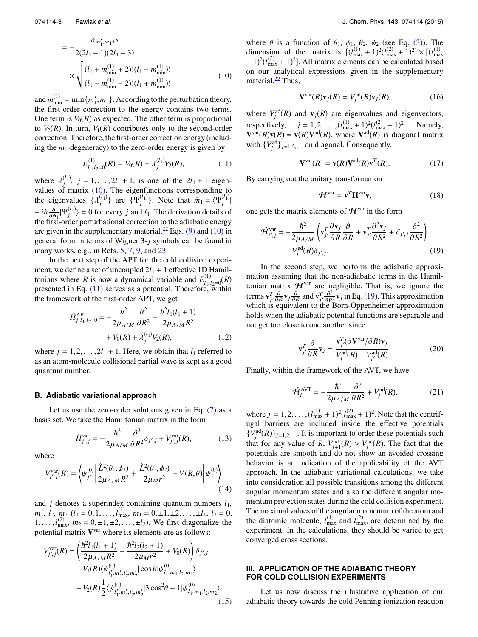$$
= -\frac{\delta_{m'_1, m_1 \pm 2}}{2(2l_1 - 1)(2l_1 + 3)}
$$
  
 
$$
\times \sqrt{\frac{(l_1 + m_{\min}^{(1)} + 2)!(l_1 - m_{\min}^{(1)})!}{(l_1 - m_{\min}^{(1)} - 2)!(l_1 + m_{\min}^{(1)})!}}
$$
(10)

and  $m_{\text{min}}^{(1)} = \min\{m'_1, m_1\}$ . According to the perturbation theory, the first-order correction to the energy contains two terms the first-order correction to the energy contains two terms. One term is  $V_0(R)$  as expected. The other term is proportional to  $V_2(R)$ . In turn,  $V_1(R)$  contributes only to the second-order correction. Therefore, the first-order correction energy (including the *m*1-degeneracy) to the zero-order energy is given by

$$
E_{l_1, l_2=0}^{(1)}(R) = V_0(R) + \lambda_j^{(l_1)} V_2(R), \qquad (11)
$$

where  $\lambda_j^{(l_1)}$ <br>values of n where  $\lambda_j^{(i)}$ ,  $j = 1, ..., 2l_1 + 1$ , is one of the  $2l_1 + 1$  eigenvalues of matrix [\(10\).](#page-3-0) The eigenfunctions corresponding to the eigenvalues  $\{\lambda_j^{(l_1)}\}$  $\{(\begin{matrix} l_1 \\ j \end{matrix})\}$  are  $\{ \Psi_j^{(l_1)} \}$  $\begin{bmatrix} (l_1) \\ j \end{bmatrix}$ . Note that  $\overline{m}_1 = \langle \Psi_j^{(l_1)} \rangle$  $\binom{l_1}{j}$  $-i\hbar\frac{\partial}{\partial \phi_1}|\Psi_i^{(l_1)}\rangle$ the first-order perturbational correction to the adiabatic energy  $\langle l_1 \rangle$  = 0 for every *j* and *l*<sub>1</sub>. The derivation details of are given in the supplementary material.<sup>[22](#page-5-18)</sup> Eqs.  $(9)$  and  $(10)$  in general form in terms of Wigner 3-*j* symbols can be found in many works, e.g., in Refs. [5,](#page-5-16) [7,](#page-5-17) [9,](#page-5-14) and [23.](#page-5-19)

In the next step of the APT for the cold collision experiment, we define a set of uncoupled  $2l_1 + 1$  effective 1D Hamiltonians where *R* is now a dynamical variable and  $E_L^{(1)}$  $\binom{(1)}{l_1, l_2 = 0} (R)$ presented in Eq. [\(11\)](#page-3-1) serves as a potential. Therefore, within the framework of the first-order APT, we get

$$
\hat{H}_{j,l_1,l_2=0}^{\text{APT}} = -\frac{\hbar^2}{2\mu_{A/M}} \frac{\partial^2}{\partial R^2} + \frac{\hbar^2 l_1(l_1+1)}{2\mu_{A/M} R^2} + V_0(R) + \lambda_j^{(l_1)} V_2(R), \tag{12}
$$

where  $j = 1, 2, \ldots, 2l_1 + 1$ . Here, we obtain that  $l_1$  referred to as an atom-molecule collisional partial wave is kept as a good quantum number.

#### **B. Adiabatic variational approach**

Let us use the zero-order solutions given in Eq.  $(7)$  as a basis set. We take the Hamiltonian matrix in the form

$$
\hat{H}_{j',j}^{\text{var}} = -\frac{\hbar^2}{2\mu_{A/M}} \frac{\partial^2}{\partial R^2} \delta_{j',j} + V_{j',j}^{\text{var}}(R),\tag{13}
$$

where

$$
V_{j',j}^{\text{var}}(R) = \left\langle \psi_{j'}^{(0)} \left| \frac{\hat{L}^2(\theta_1, \phi_1)}{2\mu_{A/M}R^2} + \frac{\hat{L}^2(\theta_2, \phi_2)}{2\mu_{M}r^2} + V(R, \theta) \right| \psi_j^{(0)} \right\rangle
$$
(14)

and *j* denotes a superindex containing quantum numbers  $l_1$ , *m*<sub>1</sub>, *l*<sub>2</sub>, *m*<sub>2</sub> (*l*<sub>1</sub> = 0, 1, . . . ,  $l_{\text{max}}^{(1)}$ , *m*<sub>1</sub> = 0, ±1, ±2, . . . , ±*l*<sub>1</sub>, *l*<sub>2</sub> = 0,<br>
1  $l^{(2)}$  *m*<sub>2</sub> = 0 +1 +2 +*l*<sub>2</sub>) We first diagonalize the  $1, \ldots, l_{\text{max}}^{(2)}, m_2 = 0, \pm 1, \pm 2, \ldots, \pm l_2$ ). We first diagonalize the notential matrix  $V^{\text{var}}$  where its elements are as follows: potential matrix  $V<sup>var</sup>$  where its elements are as follows:

$$
V_{j',j}^{\text{var}}(R) = \left(\frac{\hbar^2 l_1(l_1+1)}{2\mu_{A/M}R^2} + \frac{\hbar^2 l_2(l_2+1)}{2\mu_{M}r^2} + V_0(R)\right)\delta_{j',j} + V_1(R)\langle\psi_{l'_1,m'_1,l'_2,m'_2}^{(0)}|\cos\theta|\psi_{l_1,m_1,l_2,m_2}^{(0)}\rangle + V_2(R)\frac{1}{2}\langle\psi_{l'_1,m'_1,l'_2,m'_2}^{(0)}|\cos^2\theta - 1|\psi_{l_1,m_1,l_2,m_2}^{(0)}\rangle,
$$
(15)

<span id="page-3-0"></span>where  $\theta$  is a function of  $\theta_1$ ,  $\phi_1$ ,  $\theta_2$ ,  $\phi_2$  (see Eq. [\(3\)\)](#page-2-2). The dimension of the matrix is  $[(l_{\text{max}}^{(1)} + 1)^2 (l_{\text{max}}^{(2)} + 1)^2] \times [(l_{\text{max}}^{(1)} + 1)^2]$  $+ 1)^2 (l_{\text{max}}^{(2)} + 1)^2$ . All matrix elements can be calculated based on our analytical expressions given in the supplementary material. $^{22}$  $^{22}$  $^{22}$  Thus,

$$
\mathbf{V}^{\text{var}}(R)\mathbf{v}_j(R) = V_j^{\text{ad}}(R)\mathbf{v}_j(R),\tag{16}
$$

where  $V_j^{\text{ad}}(R)$  and  $\mathbf{v}_j(R)$  are eigenvalues and eigenvectors, respectively,  $j = 1, 2, \ldots, (l_{\text{max}}^{(1)} + 1)^2 (l_{\text{max}}^{(2)} + 1)^2$ . Namely,<br>  $\mathbf{V}^{\text{var}}(R)\mathbf{v}(R) = \mathbf{v}(R)\mathbf{V}^{\text{ad}}(R)$  where  $\mathbf{V}^{\text{ad}}(R)$  is diagonal matrix  $V^{var}(R)v(R) = v(R)V^{ad}(R)$ , where  $V^{ad}(R)$  is diagonal matrix<br>with  $\{V^{ad}\}\$ ... on diagonal Consequently with  $\{V_j^{\text{ad}}\}_{j=1,2,\dots}$  on diagonal. Consequently,

$$
\mathbf{V}^{\text{var}}(R) = \mathbf{v}(R)\mathbf{V}^{\text{ad}}(R)\mathbf{v}^T(R). \tag{17}
$$

<span id="page-3-1"></span>By carrying out the unitary transformation

<span id="page-3-2"></span>
$$
\mathcal{H}^{\text{var}} = \mathbf{v}^T \mathbf{H}^{\text{var}} \mathbf{v},\tag{18}
$$

one gets the matrix elements of  $\mathcal{H}^{\text{var}}$  in the form

$$
\hat{\mathcal{H}}_{j',j}^{\text{var}} = -\frac{\hbar^2}{2\mu_{A/M}} \left( \mathbf{v}_{j'}^T \frac{\partial \mathbf{v}_j}{\partial R} \frac{\partial}{\partial R} + \mathbf{v}_{j'}^T \frac{\partial^2 \mathbf{v}_j}{\partial R^2} + \delta_{j',j} \frac{\partial^2}{\partial R^2} \right) + V_j^{\text{ad}}(R)\delta_{j',j}.
$$
\n(19)

In the second step, we perform the adiabatic approximation assuming that the non-adiabatic terms in the Hamiltonian matrix  $\mathcal{H}^{\text{var}}$  are negligible. That is, we ignore the terms  $\mathbf{v}_{j'}^T \frac{\partial}{\partial R} \mathbf{v}_j \frac{\partial}{\partial R}$  and  $\mathbf{v}_{j'}^T \frac{\partial^2}{\partial R^2} \mathbf{v}_j$  in Eq. [\(19\).](#page-3-2) This approximation which is equivalent to the Born-Oppenheimer approximation which is equivalent to the Born-Oppenheimer approximation holds when the adiabatic potential functions are separable and not get too close to one another since

$$
\mathbf{v}_{j'}^T \frac{\partial}{\partial R} \mathbf{v}_j = \frac{\mathbf{v}_{j'}^T (\partial \mathbf{V}^{\text{var}} / \partial R) \mathbf{v}_j}{V_j^{\text{ad}}(R) - V_{j'}^{\text{ad}}(R)}.
$$
(20)

<span id="page-3-3"></span>Finally, within the framework of the AVT, we have

<span id="page-3-4"></span>
$$
\hat{\mathcal{H}}_j^{\text{AVT}} = -\frac{\hbar^2}{2\mu_{A/M}} \frac{\partial^2}{\partial R^2} + V_j^{\text{ad}}(R),\tag{21}
$$

where  $j = 1, 2, ..., (l_{\text{max}}^{(1)} + 1)^2 (l_{\text{max}}^{(2)} + 1)^2$ . Note that the centrif-<br>ugal, barriers, are included, inside the effective potentials ugal barriers are included inside the effective potentials  $\{V_j^{\text{ad}}(R)\}_{j=1,2,...}$  It is important to order these potentials such that for any value of *R*,  $V_{j+1}^{ad}(R) > V_j^{ad}(R)$ . The fact that the potentials are smooth and do not show an avoided crossing potentials are smooth and do not show an avoided crossing behavior is an indication of the applicability of the AVT approach. In the adiabatic variational calculations, we take into consideration all possible transitions among the different angular momentum states and also the different angular momentum projection states during the cold collision experiment. The maximal values of the angular momentum of the atom and the diatomic molecule,  $l_{\text{max}}^{(1)}$  and  $l_{\text{max}}^{(2)}$ , are determined by the experiment. In the calculations, they should be varied to get converged cross sections.

#### **III. APPLICATION OF THE ADIABATIC THEORY FOR COLD COLLISION EXPERIMENTS**

Let us now discuss the illustrative application of our adiabatic theory towards the cold Penning ionization reaction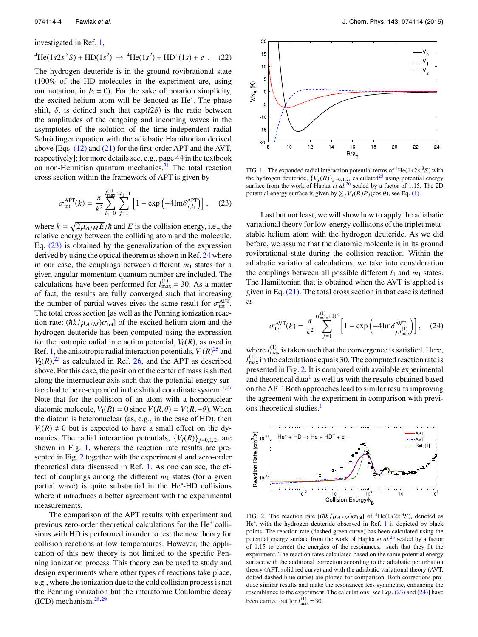investigated in Ref. [1,](#page-5-0)

$$
{}^{4}\text{He}(1s2s \, {}^{3}S) + \text{HD}(1s^{2}) \rightarrow {}^{4}\text{He}(1s^{2}) + \text{HD}^{+}(1s) + e^{-}. \quad (22)
$$

The hydrogen deuteride is in the ground rovibrational state (100% of the HD molecules in the experiment are, using our notation, in  $l_2 = 0$ ). For the sake of notation simplicity, the excited helium atom will be denoted as He<sup>∗</sup> . The phase shift,  $\delta$ , is defined such that  $exp(i2\delta)$  is the ratio between the amplitudes of the outgoing and incoming waves in the asymptotes of the solution of the time-independent radial Schrödinger equation with the adiabatic Hamiltonian derived above [Eqs.  $(12)$  and  $(21)$  for the first-order APT and the AVT, respectively]; for more details see, e.g., page 44 in the textbook on non-Hermitian quantum mechanics.<sup>[21](#page-5-15)</sup> The total reaction cross section within the framework of APT is given by

$$
\sigma_{\text{tot}}^{\text{APT}}(k) = \frac{\pi}{k^2} \sum_{l_1=0}^{l_{\text{max}}^{(1)}} \sum_{j=1}^{2l_1+1} \left[ 1 - \exp\left(-4\text{Im}\delta_{j,l_1}^{\text{APT}}\right) \right], \quad (23)
$$

where  $k = \sqrt{2\mu_{A/M}E}/\hbar$  and *E* is the collision energy, i.e., the relative energy between the colliding atom and the molecule relative energy between the colliding atom and the molecule. Eq. [\(23\)](#page-4-0) is obtained by the generalization of the expression derived by using the optical theorem as shown in Ref. [24](#page-5-20) where in our case, the couplings between different  $m_1$  states for a given angular momentum quantum number are included. The calculations have been performed for  $l_{\text{max}}^{(1)} = 30$ . As a matter of fact, the results are fully converged such that increasing the number of partial waves gives the same result for  $\sigma_{tot}^{APT}$ .<br>The total cross section [as well as the Penning ionization reac-The total cross section [as well as the Penning ionization reaction rate:  $(\hbar k/\mu_{A/M})\sigma_{\text{tot}}$  of the excited helium atom and the hydrogen deuteride has been computed using the expression for the isotropic radial interaction potential,  $V_0(R)$ , as used in Ref. [1,](#page-5-0) the anisotropic radial interaction potentials,  $V_1(R)^{25}$  $V_1(R)^{25}$  $V_1(R)^{25}$  and  $V_2(R)$ ,<sup>[25](#page-5-21)</sup> as calculated in Ref. [26,](#page-5-22) and the APT as described above. For this case, the position of the center of mass is shifted along the internuclear axis such that the potential energy sur-face had to be re-expanded in the shifted coordinate system.<sup>[1](#page-5-0)[,27](#page-5-23)</sup> Note that for the collision of an atom with a homonuclear diatomic molecule,  $V_1(R) = 0$  since  $V(R, \theta) = V(R, -\theta)$ . When the diatom is heteronuclear (as, e.g., in the case of HD), then  $V_1(R) \neq 0$  but is expected to have a small effect on the dynamics. The radial interaction potentials,  ${V_i(R)}_{i=0,1,2}$ , are shown in Fig. [1,](#page-4-1) whereas the reaction rate results are presented in Fig. [2](#page-4-2) together with the experimental and zero-order theoretical data discussed in Ref. [1.](#page-5-0) As one can see, the effect of couplings among the different  $m_1$  states (for a given partial wave) is quite substantial in the He<sup>∗</sup>-HD collisions where it introduces a better agreement with the experimental measurements.

The comparison of the APT results with experiment and previous zero-order theoretical calculations for the He<sup>\*</sup> collisions with HD is performed in order to test the new theory for collision reactions at low temperatures. However, the application of this new theory is not limited to the specific Penning ionization process. This theory can be used to study and design experiments where other types of reactions take place, e.g., where the ionization due to the cold collision process is not the Penning ionization but the interatomic Coulombic decay  $(ICD)$  mechanism. $28,29$  $28,29$ 

<span id="page-4-1"></span>

<span id="page-4-0"></span>FIG. 1. The expanded radial interaction potential terms of  ${}^{4}$ He(1s2s  ${}^{3}S$ ) with the hydrogen deuteride,  $\{V_j(R)\}_{j=0,1,2}$ , calculated<sup>[25](#page-5-21)</sup> using potential energy surface from the work of Hapka *et al.*<sup>[26](#page-5-22)</sup> scaled by a factor of 1.15. The 2D potential energy surface is given by  $\sum_j V_j(R)P_j(\cos \theta)$ , see Eq. [\(1\).](#page-2-3)

Last but not least, we will show how to apply the adiabatic variational theory for low-energy collisions of the triplet metastable helium atom with the hydrogen deuteride. As we did before, we assume that the diatomic molecule is in its ground rovibrational state during the collision reaction. Within the adiabatic variational calculations, we take into consideration the couplings between all possible different  $l_1$  and  $m_1$  states. The Hamiltonian that is obtained when the AVT is applied is given in Eq.  $(21)$ . The total cross section in that case is defined as

<span id="page-4-3"></span>
$$
\sigma_{\text{tot}}^{\text{AVT}}(k) = \frac{\pi}{k^2} \sum_{j=1}^{(l_{\text{max}}^{(1)} + 1)^2} \left[ 1 - \exp\left( -4 \text{Im} \delta_{j, l_{\text{max}}^{(1)}}^{A\text{VT}} \right) \right], \quad (24)
$$

where  $l_{\text{max}}^{(1)}$  is taken such that the convergence is satisfied. Here,  $l_{\text{max}}^{(1)}$  in the calculations equals 30. The computed reaction rate is presented in Fig. [2.](#page-4-2) It is compared with available experimental and theoretical data<sup>[1](#page-5-0)</sup> as well as with the results obtained based on the APT. Both approaches lead to similar results improving the agreement with the experiment in comparison with previ-ous theoretical studies.<sup>[1](#page-5-0)</sup>

<span id="page-4-2"></span>

FIG. 2. The reaction rate  $[(\hbar k/\mu_{A/M})\sigma_{tot}]$  of <sup>4</sup>He(1s2s<sup>3</sup>S), denoted as He<sup>\*</sup> with the hydrogen deuteride observed in Ref. 1 is denicted by black He<sup>\*</sup>, with the hydrogen deuteride observed in Ref. [1](#page-5-0) is depicted by black points. The reaction rate (dashed green curve) has been calculated using the potential energy surface from the work of Hapka *et al.*[26](#page-5-22) scaled by a factor of [1](#page-5-0).15 to correct the energies of the resonances,<sup>1</sup> such that they fit the experiment. The reaction rates calculated based on the same potential energy surface with the additional correction according to the adiabatic perturbation theory (APT, solid red curve) and with the adiabatic variational theory (AVT, dotted-dashed blue curve) are plotted for comparison. Both corrections produce similar results and make the resonances less symmetric, enhancing the resemblance to the experiment. The calculations [see Eqs. [\(23\)](#page-4-0) and [\(24\)\]](#page-4-3) have been carried out for  $l_{\text{max}}^{(1)} = 30$ .